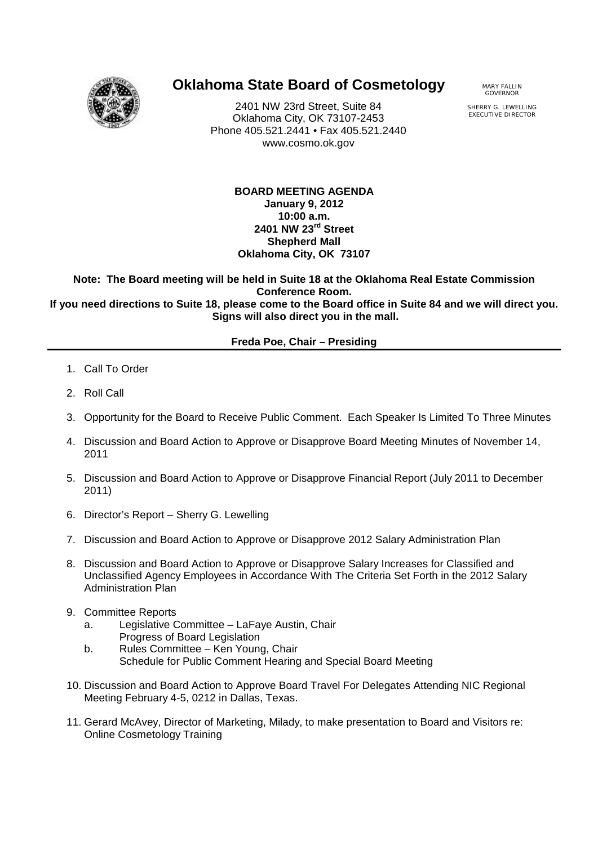

## **Oklahoma State Board of Cosmetology** MARY FALLIN

2401 NW 23rd Street, Suite 84 Oklahoma City, OK 73107-2453 Phone 405.521.2441 • Fax 405.521.2440 www.cosmo.ok.gov

GOVERNOR

SHERRY G. LEWELLING EXECUTIVE DIRECTOR

**BOARD MEETING AGENDA January 9, 2012 10:00 a.m. 2401 NW 23rd Street Shepherd Mall Oklahoma City, OK 73107**

**Note: The Board meeting will be held in Suite 18 at the Oklahoma Real Estate Commission Conference Room. If you need directions to Suite 18, please come to the Board office in Suite 84 and we will direct you. Signs will also direct you in the mall.**

## **Freda Poe, Chair – Presiding**

- 1. Call To Order
- 2. Roll Call
- 3. Opportunity for the Board to Receive Public Comment. Each Speaker Is Limited To Three Minutes
- 4. Discussion and Board Action to Approve or Disapprove Board Meeting Minutes of November 14, 2011
- 5. Discussion and Board Action to Approve or Disapprove Financial Report (July 2011 to December 2011)
- 6. Director's Report Sherry G. Lewelling
- 7. Discussion and Board Action to Approve or Disapprove 2012 Salary Administration Plan
- 8. Discussion and Board Action to Approve or Disapprove Salary Increases for Classified and Unclassified Agency Employees in Accordance With The Criteria Set Forth in the 2012 Salary Administration Plan
- 9. Committee Reports
	- a. Legislative Committee LaFaye Austin, Chair Progress of Board Legislation
	- b. Rules Committee Ken Young, Chair Schedule for Public Comment Hearing and Special Board Meeting
- 10. Discussion and Board Action to Approve Board Travel For Delegates Attending NIC Regional Meeting February 4-5, 0212 in Dallas, Texas.
- 11. Gerard McAvey, Director of Marketing, Milady, to make presentation to Board and Visitors re: Online Cosmetology Training